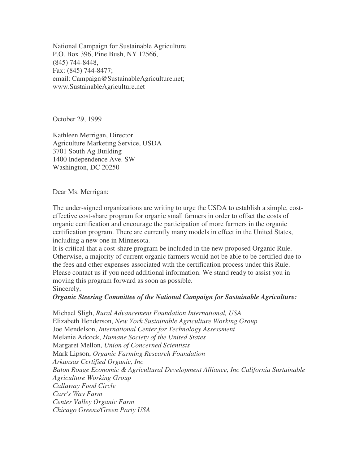National Campaign for Sustainable Agriculture P.O. Box 396, Pine Bush, NY 12566, (845) 744-8448, Fax: (845) 744-8477; email: Campaign@SustainableAgriculture.net; www.SustainableAgriculture.net

October 29, 1999

Kathleen Merrigan, Director Agriculture Marketing Service, USDA 3701 South Ag Building 1400 Independence Ave. SW Washington, DC 20250

Dear Ms. Merrigan:

The under-signed organizations are writing to urge the USDA to establish a simple, costeffective cost-share program for organic small farmers in order to offset the costs of organic certification and encourage the participation of more farmers in the organic certification program. There are currently many models in effect in the United States, including a new one in Minnesota.

It is critical that a cost-share program be included in the new proposed Organic Rule. Otherwise, a majority of current organic farmers would not be able to be certified due to the fees and other expenses associated with the certification process under this Rule. Please contact us if you need additional information. We stand ready to assist you in moving this program forward as soon as possible. Sincerely,

*Organic Steering Committee of the National Campaign for Sustainable Agriculture:*

Michael Sligh, *Rural Advancement Foundation International, USA* Elizabeth Henderson, *New York Sustainable Agriculture Working Group* Joe Mendelson, *International Center for Technology Assessment* Melanie Adcock, *Humane Society of the United States* Margaret Mellon, *Union of Concerned Scientists* Mark Lipson, *Organic Farming Research Foundation Arkansas Certified Organic, Inc Baton Rouge Economic & Agricultural Development Alliance, Inc California Sustainable Agriculture Working Group Callaway Food Circle Carr's Way Farm Center Valley Organic Farm Chicago Greens/Green Party USA*